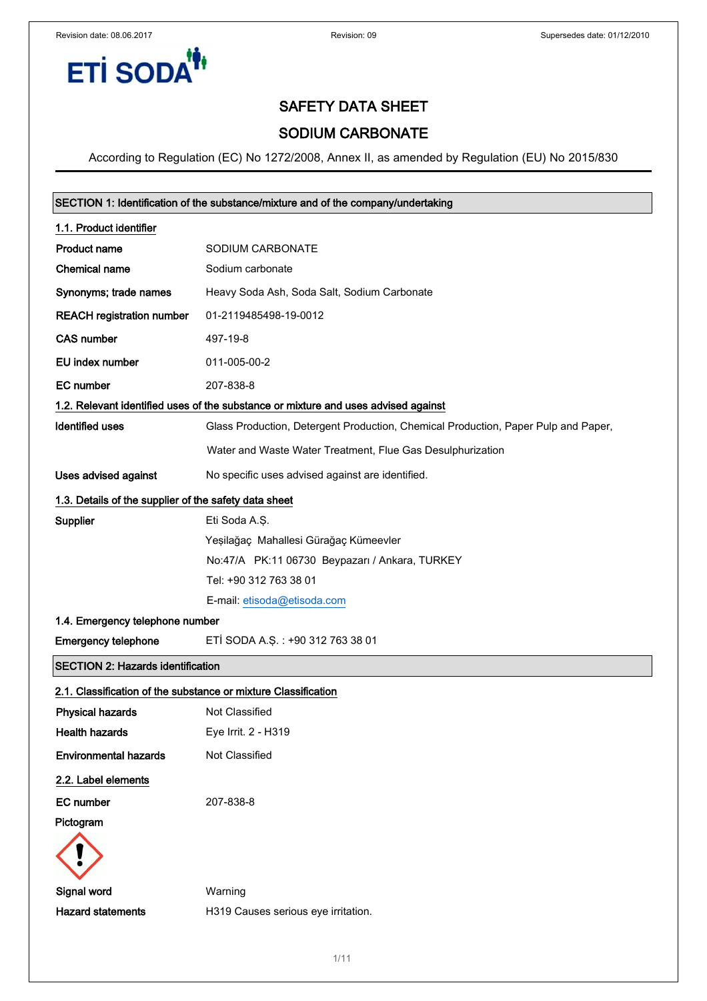

## SODIUM CARBONATE

| SECTION 1: Identification of the substance/mixture and of the company/undertaking |                                                                                    |  |
|-----------------------------------------------------------------------------------|------------------------------------------------------------------------------------|--|
| 1.1. Product identifier                                                           |                                                                                    |  |
| <b>Product name</b>                                                               | SODIUM CARBONATE                                                                   |  |
| Chemical name                                                                     | Sodium carbonate                                                                   |  |
| Synonyms; trade names                                                             | Heavy Soda Ash, Soda Salt, Sodium Carbonate                                        |  |
| <b>REACH registration number</b>                                                  | 01-2119485498-19-0012                                                              |  |
| <b>CAS number</b>                                                                 | 497-19-8                                                                           |  |
| EU index number                                                                   | 011-005-00-2                                                                       |  |
| <b>EC</b> number                                                                  | 207-838-8                                                                          |  |
|                                                                                   | 1.2. Relevant identified uses of the substance or mixture and uses advised against |  |
| <b>Identified uses</b>                                                            | Glass Production, Detergent Production, Chemical Production, Paper Pulp and Paper, |  |
|                                                                                   | Water and Waste Water Treatment, Flue Gas Desulphurization                         |  |
| <b>Uses advised against</b>                                                       | No specific uses advised against are identified.                                   |  |
| 1.3. Details of the supplier of the safety data sheet                             |                                                                                    |  |
| Supplier                                                                          | Eti Soda A.Ş.                                                                      |  |
|                                                                                   | Yeşilağaç Mahallesi Gürağaç Kümeevler                                              |  |
|                                                                                   | No:47/A PK:11 06730 Beypazarı / Ankara, TURKEY                                     |  |
|                                                                                   | Tel: +90 312 763 38 01                                                             |  |
|                                                                                   | E-mail: etisoda@etisoda.com                                                        |  |
| 1.4. Emergency telephone number                                                   |                                                                                    |  |
| <b>Emergency telephone</b>                                                        | ETI SODA A.Ş.: +90 312 763 38 01                                                   |  |
| <b>SECTION 2: Hazards identification</b>                                          |                                                                                    |  |
| 2.1. Classification of the substance or mixture Classification                    |                                                                                    |  |
| <b>Physical hazards</b>                                                           | Not Classified                                                                     |  |
| <b>Health hazards</b>                                                             | Eye Irrit. 2 - H319                                                                |  |
| <b>Environmental hazards</b>                                                      | Not Classified                                                                     |  |
| 2.2. Label elements                                                               |                                                                                    |  |
| <b>EC</b> number                                                                  | 207-838-8                                                                          |  |
| Pictogram                                                                         |                                                                                    |  |
|                                                                                   |                                                                                    |  |
| Signal word                                                                       | Warning                                                                            |  |
| <b>Hazard statements</b>                                                          | H319 Causes serious eye irritation.                                                |  |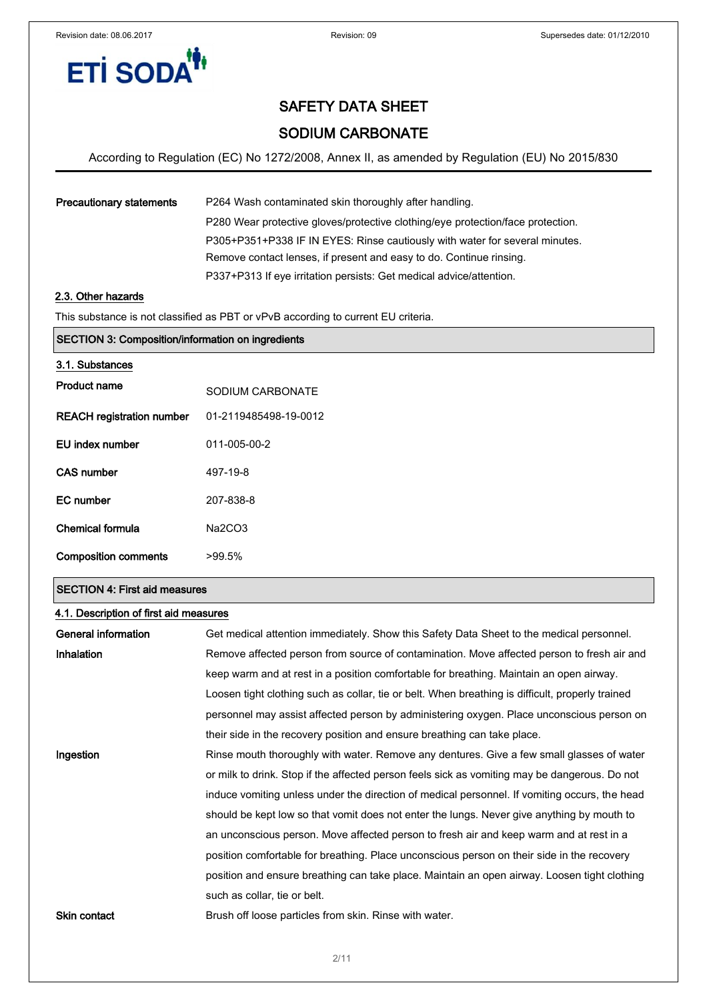

## SODIUM CARBONATE

According to Regulation (EC) No 1272/2008, Annex II, as amended by Regulation (EU) No 2015/830

| <b>Precautionary statements</b> | P264 Wash contaminated skin thoroughly after handling.                          |
|---------------------------------|---------------------------------------------------------------------------------|
|                                 | P280 Wear protective gloves/protective clothing/eye protection/face protection. |
|                                 | P305+P351+P338 IF IN EYES: Rinse cautiously with water for several minutes.     |
|                                 | Remove contact lenses, if present and easy to do. Continue rinsing.             |
|                                 | P337+P313 If eye irritation persists: Get medical advice/attention.             |
|                                 |                                                                                 |

#### 2.3. Other hazards

This substance is not classified as PBT or vPvB according to current EU criteria.

| <b>SECTION 3: Composition/information on ingredients</b> |                       |  |
|----------------------------------------------------------|-----------------------|--|
| 3.1. Substances                                          |                       |  |
| <b>Product name</b>                                      | SODIUM CARBONATE      |  |
| <b>REACH registration number</b>                         | 01-2119485498-19-0012 |  |
| EU index number                                          | 011-005-00-2          |  |
| <b>CAS number</b>                                        | 497-19-8              |  |
| <b>EC</b> number                                         | 207-838-8             |  |
| <b>Chemical formula</b>                                  | Na2CO3                |  |
| <b>Composition comments</b>                              | $>99.5\%$             |  |

#### SECTION 4: First aid measures

| 4.1. Description of first aid measures |                                                                                                  |  |  |
|----------------------------------------|--------------------------------------------------------------------------------------------------|--|--|
| General information                    | Get medical attention immediately. Show this Safety Data Sheet to the medical personnel.         |  |  |
| Inhalation                             | Remove affected person from source of contamination. Move affected person to fresh air and       |  |  |
|                                        | keep warm and at rest in a position comfortable for breathing. Maintain an open airway.          |  |  |
|                                        | Loosen tight clothing such as collar, tie or belt. When breathing is difficult, properly trained |  |  |
|                                        | personnel may assist affected person by administering oxygen. Place unconscious person on        |  |  |
|                                        | their side in the recovery position and ensure breathing can take place.                         |  |  |
| Ingestion                              | Rinse mouth thoroughly with water. Remove any dentures. Give a few small glasses of water        |  |  |
|                                        | or milk to drink. Stop if the affected person feels sick as vomiting may be dangerous. Do not    |  |  |
|                                        | induce vomiting unless under the direction of medical personnel. If vomiting occurs, the head    |  |  |
|                                        | should be kept low so that vomit does not enter the lungs. Never give anything by mouth to       |  |  |
|                                        | an unconscious person. Move affected person to fresh air and keep warm and at rest in a          |  |  |
|                                        | position comfortable for breathing. Place unconscious person on their side in the recovery       |  |  |
|                                        | position and ensure breathing can take place. Maintain an open airway. Loosen tight clothing     |  |  |
|                                        | such as collar, tie or belt.                                                                     |  |  |
| <b>Skin contact</b>                    | Brush off loose particles from skin. Rinse with water.                                           |  |  |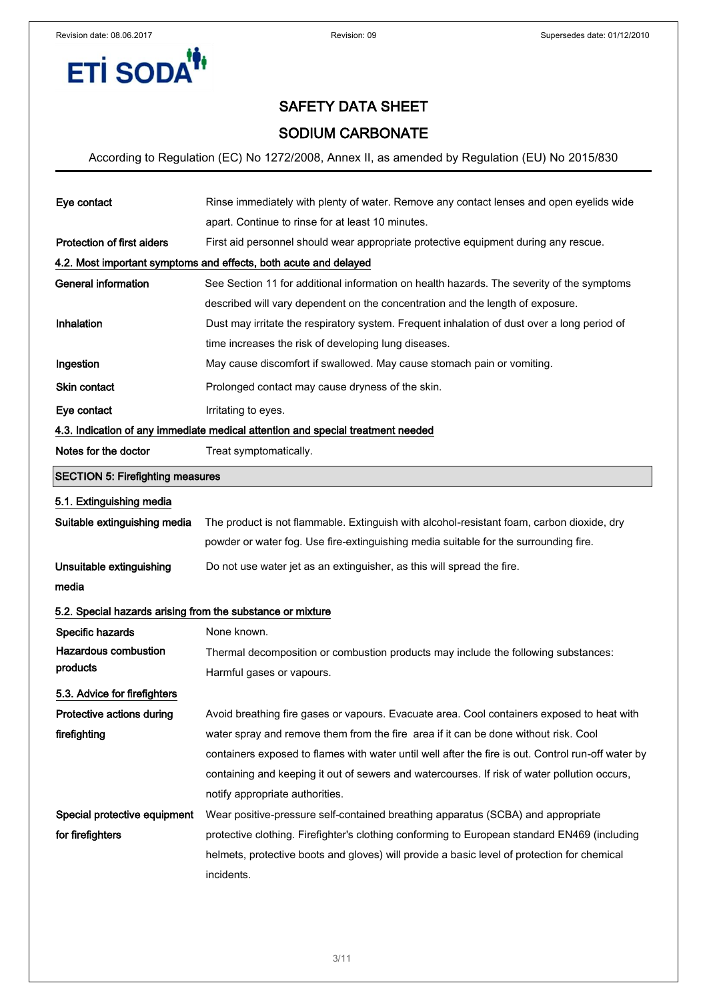

## SODIUM CARBONATE

| Eye contact                                                | Rinse immediately with plenty of water. Remove any contact lenses and open eyelids wide            |  |  |  |  |
|------------------------------------------------------------|----------------------------------------------------------------------------------------------------|--|--|--|--|
|                                                            | apart. Continue to rinse for at least 10 minutes.                                                  |  |  |  |  |
| <b>Protection of first aiders</b>                          | First aid personnel should wear appropriate protective equipment during any rescue.                |  |  |  |  |
|                                                            | 4.2. Most important symptoms and effects, both acute and delayed                                   |  |  |  |  |
| <b>General information</b>                                 | See Section 11 for additional information on health hazards. The severity of the symptoms          |  |  |  |  |
|                                                            | described will vary dependent on the concentration and the length of exposure.                     |  |  |  |  |
| Inhalation                                                 | Dust may irritate the respiratory system. Frequent inhalation of dust over a long period of        |  |  |  |  |
|                                                            | time increases the risk of developing lung diseases.                                               |  |  |  |  |
| Ingestion                                                  | May cause discomfort if swallowed. May cause stomach pain or vomiting.                             |  |  |  |  |
| Skin contact                                               | Prolonged contact may cause dryness of the skin.                                                   |  |  |  |  |
| Eye contact                                                | Irritating to eyes.                                                                                |  |  |  |  |
|                                                            | 4.3. Indication of any immediate medical attention and special treatment needed                    |  |  |  |  |
| Notes for the doctor                                       | Treat symptomatically.                                                                             |  |  |  |  |
| <b>SECTION 5: Firefighting measures</b>                    |                                                                                                    |  |  |  |  |
| 5.1. Extinguishing media                                   |                                                                                                    |  |  |  |  |
| Suitable extinguishing media                               | The product is not flammable. Extinguish with alcohol-resistant foam, carbon dioxide, dry          |  |  |  |  |
|                                                            | powder or water fog. Use fire-extinguishing media suitable for the surrounding fire.               |  |  |  |  |
| Unsuitable extinguishing                                   | Do not use water jet as an extinguisher, as this will spread the fire.                             |  |  |  |  |
| media                                                      |                                                                                                    |  |  |  |  |
| 5.2. Special hazards arising from the substance or mixture |                                                                                                    |  |  |  |  |
| Specific hazards                                           | None known.                                                                                        |  |  |  |  |
| <b>Hazardous combustion</b>                                | Thermal decomposition or combustion products may include the following substances:                 |  |  |  |  |
| products                                                   | Harmful gases or vapours.                                                                          |  |  |  |  |
| 5.3. Advice for firefighters                               |                                                                                                    |  |  |  |  |
| Protective actions during                                  | Avoid breathing fire gases or vapours. Evacuate area. Cool containers exposed to heat with         |  |  |  |  |
| firefighting                                               | water spray and remove them from the fire area if it can be done without risk. Cool                |  |  |  |  |
|                                                            | containers exposed to flames with water until well after the fire is out. Control run-off water by |  |  |  |  |
|                                                            | containing and keeping it out of sewers and watercourses. If risk of water pollution occurs,       |  |  |  |  |
|                                                            | notify appropriate authorities.                                                                    |  |  |  |  |
| Special protective equipment                               | Wear positive-pressure self-contained breathing apparatus (SCBA) and appropriate                   |  |  |  |  |
| for firefighters                                           | protective clothing. Firefighter's clothing conforming to European standard EN469 (including       |  |  |  |  |
|                                                            | helmets, protective boots and gloves) will provide a basic level of protection for chemical        |  |  |  |  |
|                                                            | incidents.                                                                                         |  |  |  |  |
|                                                            |                                                                                                    |  |  |  |  |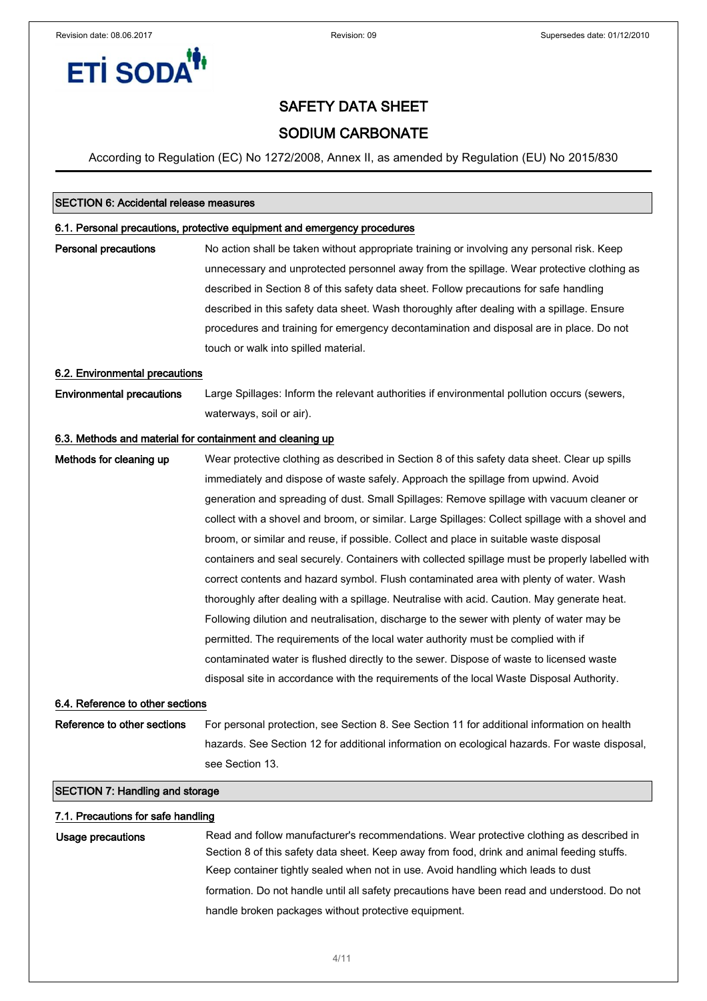

## SODIUM CARBONATE

According to Regulation (EC) No 1272/2008, Annex II, as amended by Regulation (EU) No 2015/830

#### SECTION 6: Accidental release measures

#### 6.1. Personal precautions, protective equipment and emergency procedures

**Personal precautions** No action shall be taken without appropriate training or involving any personal risk. Keep unnecessary and unprotected personnel away from the spillage. Wear protective clothing as described in Section 8 of this safety data sheet. Follow precautions for safe handling described in this safety data sheet. Wash thoroughly after dealing with a spillage. Ensure procedures and training for emergency decontamination and disposal are in place. Do not touch or walk into spilled material.

#### 6.2. Environmental precautions

Environmental precautions Large Spillages: Inform the relevant authorities if environmental pollution occurs (sewers, waterways, soil or air).

#### 6.3. Methods and material for containment and cleaning up

Methods for cleaning up Wear protective clothing as described in Section 8 of this safety data sheet. Clear up spills immediately and dispose of waste safely. Approach the spillage from upwind. Avoid generation and spreading of dust. Small Spillages: Remove spillage with vacuum cleaner or collect with a shovel and broom, or similar. Large Spillages: Collect spillage with a shovel and broom, or similar and reuse, if possible. Collect and place in suitable waste disposal containers and seal securely. Containers with collected spillage must be properly labelled with correct contents and hazard symbol. Flush contaminated area with plenty of water. Wash thoroughly after dealing with a spillage. Neutralise with acid. Caution. May generate heat. Following dilution and neutralisation, discharge to the sewer with plenty of water may be permitted. The requirements of the local water authority must be complied with if contaminated water is flushed directly to the sewer. Dispose of waste to licensed waste disposal site in accordance with the requirements of the local Waste Disposal Authority.

#### 6.4. Reference to other sections

Reference to other sections For personal protection, see Section 8. See Section 11 for additional information on health hazards. See Section 12 for additional information on ecological hazards. For waste disposal, see Section 13.

#### SECTION 7: Handling and storage

#### 7.1. Precautions for safe handling

Usage precautions **Read and follow manufacturer's recommendations**. Wear protective clothing as described in Section 8 of this safety data sheet. Keep away from food, drink and animal feeding stuffs. Keep container tightly sealed when not in use. Avoid handling which leads to dust formation. Do not handle until all safety precautions have been read and understood. Do not handle broken packages without protective equipment.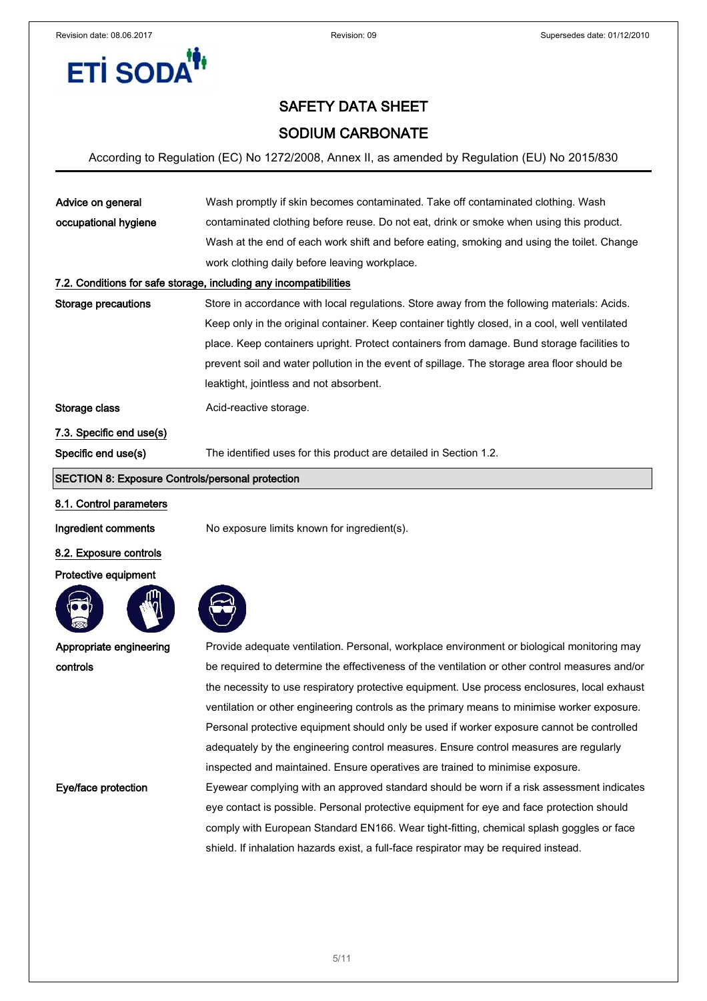

## SODIUM CARBONATE

According to Regulation (EC) No 1272/2008, Annex II, as amended by Regulation (EU) No 2015/830

| occupational hygiene<br>contaminated clothing before reuse. Do not eat, drink or smoke when using this product.<br>Wash at the end of each work shift and before eating, smoking and using the toilet. Change |  |  |  |
|---------------------------------------------------------------------------------------------------------------------------------------------------------------------------------------------------------------|--|--|--|
|                                                                                                                                                                                                               |  |  |  |
|                                                                                                                                                                                                               |  |  |  |
| work clothing daily before leaving workplace.                                                                                                                                                                 |  |  |  |
| 7.2. Conditions for safe storage, including any incompatibilities                                                                                                                                             |  |  |  |
| Storage precautions<br>Store in accordance with local regulations. Store away from the following materials: Acids.                                                                                            |  |  |  |
| Keep only in the original container. Keep container tightly closed, in a cool, well ventilated                                                                                                                |  |  |  |
| place. Keep containers upright. Protect containers from damage. Bund storage facilities to                                                                                                                    |  |  |  |
| prevent soil and water pollution in the event of spillage. The storage area floor should be                                                                                                                   |  |  |  |
| leaktight, jointless and not absorbent.                                                                                                                                                                       |  |  |  |
| Storage class<br>Acid-reactive storage.                                                                                                                                                                       |  |  |  |
| 7.3. Specific end use(s)                                                                                                                                                                                      |  |  |  |
| Specific end use(s)<br>The identified uses for this product are detailed in Section 1.2.                                                                                                                      |  |  |  |

### SECTION 8: Exposure Controls/personal protection

#### 8.1. Control parameters

Ingredient comments No exposure limits known for ingredient(s).

#### 8.2. Exposure controls

#### Protective equipment



Appropriate engineering

controls

Provide adequate ventilation. Personal, workplace environment or biological monitoring may be required to determine the effectiveness of the ventilation or other control measures and/or the necessity to use respiratory protective equipment. Use process enclosures, local exhaust ventilation or other engineering controls as the primary means to minimise worker exposure. Personal protective equipment should only be used if worker exposure cannot be controlled adequately by the engineering control measures. Ensure control measures are regularly inspected and maintained. Ensure operatives are trained to minimise exposure. Eye/face protection Eyewear complying with an approved standard should be worn if a risk assessment indicates eye contact is possible. Personal protective equipment for eye and face protection should comply with European Standard EN166. Wear tight-fitting, chemical splash goggles or face

shield. If inhalation hazards exist, a full-face respirator may be required instead.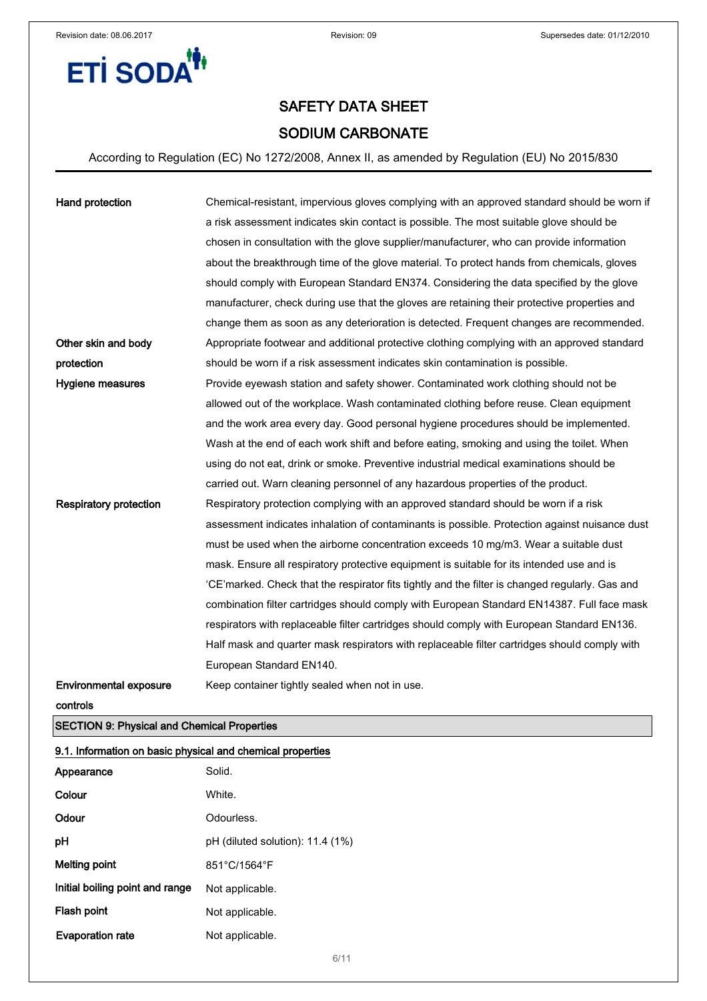**ETİ SODA<sup>14</sup>** 



## SAFETY DATA SHEET SODIUM CARBONATE

According to Regulation (EC) No 1272/2008, Annex II, as amended by Regulation (EU) No 2015/830

| Hand protection               | Chemical-resistant, impervious gloves complying with an approved standard should be worn if     |
|-------------------------------|-------------------------------------------------------------------------------------------------|
|                               | a risk assessment indicates skin contact is possible. The most suitable glove should be         |
|                               | chosen in consultation with the glove supplier/manufacturer, who can provide information        |
|                               | about the breakthrough time of the glove material. To protect hands from chemicals, gloves      |
|                               | should comply with European Standard EN374. Considering the data specified by the glove         |
|                               | manufacturer, check during use that the gloves are retaining their protective properties and    |
|                               | change them as soon as any deterioration is detected. Frequent changes are recommended.         |
| Other skin and body           | Appropriate footwear and additional protective clothing complying with an approved standard     |
| protection                    | should be worn if a risk assessment indicates skin contamination is possible.                   |
| Hygiene measures              | Provide eyewash station and safety shower. Contaminated work clothing should not be             |
|                               | allowed out of the workplace. Wash contaminated clothing before reuse. Clean equipment          |
|                               | and the work area every day. Good personal hygiene procedures should be implemented.            |
|                               | Wash at the end of each work shift and before eating, smoking and using the toilet. When        |
|                               | using do not eat, drink or smoke. Preventive industrial medical examinations should be          |
|                               | carried out. Warn cleaning personnel of any hazardous properties of the product.                |
| <b>Respiratory protection</b> | Respiratory protection complying with an approved standard should be worn if a risk             |
|                               | assessment indicates inhalation of contaminants is possible. Protection against nuisance dust   |
|                               | must be used when the airborne concentration exceeds 10 mg/m3. Wear a suitable dust             |
|                               | mask. Ensure all respiratory protective equipment is suitable for its intended use and is       |
|                               | 'CE'marked. Check that the respirator fits tightly and the filter is changed regularly. Gas and |
|                               | combination filter cartridges should comply with European Standard EN14387. Full face mask      |
|                               | respirators with replaceable filter cartridges should comply with European Standard EN136.      |
|                               | Half mask and quarter mask respirators with replaceable filter cartridges should comply with    |
|                               | European Standard EN140.                                                                        |
| <b>Environmental exposure</b> | Keep container tightly sealed when not in use.                                                  |

controls

SECTION 9: Physical and Chemical Properties

|  | 9.1. Information on basic physical and chemical properties |  |  |  |  |
|--|------------------------------------------------------------|--|--|--|--|
|--|------------------------------------------------------------|--|--|--|--|

| Appearance                      | Solid.                             |
|---------------------------------|------------------------------------|
| Colour                          | White.                             |
| Odour                           | Odourless.                         |
| рH                              | $pH$ (diluted solution): 11.4 (1%) |
| Melting point                   | 851°C/1564°F                       |
| Initial boiling point and range | Not applicable.                    |
| Flash point                     | Not applicable.                    |
| <b>Evaporation rate</b>         | Not applicable.                    |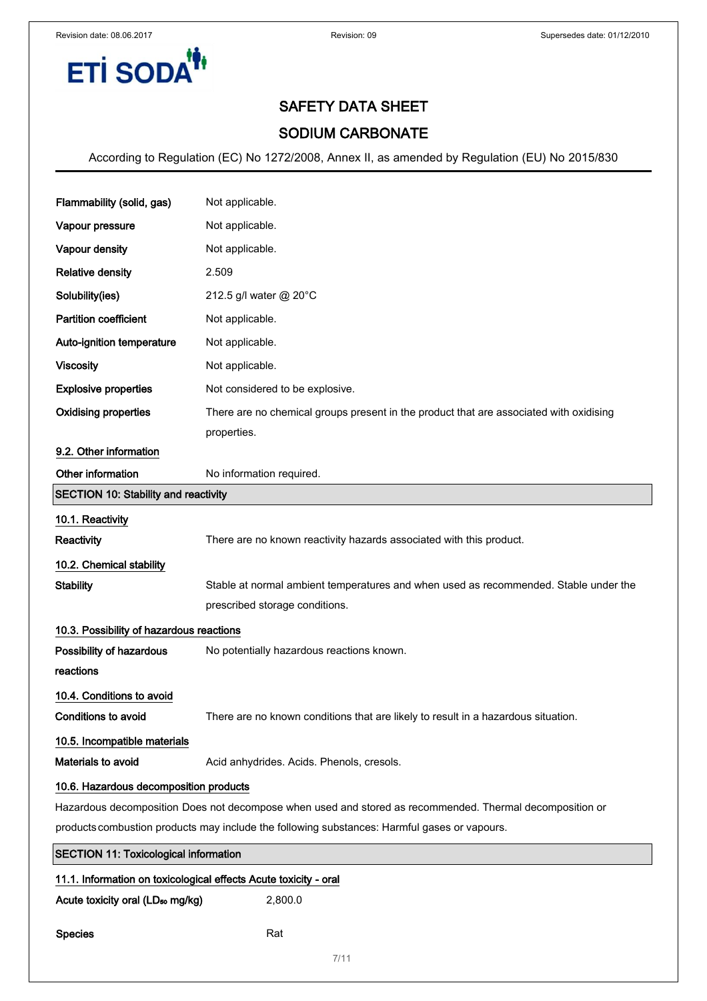

## SODIUM CARBONATE

| Flammability (solid, gas)                                                                                | Not applicable.                                                                        |  |
|----------------------------------------------------------------------------------------------------------|----------------------------------------------------------------------------------------|--|
| Vapour pressure                                                                                          | Not applicable.                                                                        |  |
| Vapour density                                                                                           | Not applicable.                                                                        |  |
| <b>Relative density</b>                                                                                  | 2.509                                                                                  |  |
| Solubility(ies)                                                                                          | 212.5 g/l water @ 20°C                                                                 |  |
| <b>Partition coefficient</b>                                                                             | Not applicable.                                                                        |  |
| Auto-ignition temperature                                                                                | Not applicable.                                                                        |  |
| <b>Viscosity</b>                                                                                         | Not applicable.                                                                        |  |
| <b>Explosive properties</b>                                                                              | Not considered to be explosive.                                                        |  |
| <b>Oxidising properties</b>                                                                              | There are no chemical groups present in the product that are associated with oxidising |  |
|                                                                                                          | properties.                                                                            |  |
| 9.2. Other information                                                                                   |                                                                                        |  |
| Other information                                                                                        | No information required.                                                               |  |
| <b>SECTION 10: Stability and reactivity</b>                                                              |                                                                                        |  |
| 10.1. Reactivity                                                                                         |                                                                                        |  |
| <b>Reactivity</b>                                                                                        | There are no known reactivity hazards associated with this product.                    |  |
| 10.2. Chemical stability                                                                                 |                                                                                        |  |
| <b>Stability</b>                                                                                         | Stable at normal ambient temperatures and when used as recommended. Stable under the   |  |
|                                                                                                          | prescribed storage conditions.                                                         |  |
| 10.3. Possibility of hazardous reactions                                                                 |                                                                                        |  |
| Possibility of hazardous                                                                                 | No potentially hazardous reactions known.                                              |  |
| reactions                                                                                                |                                                                                        |  |
| 10.4. Conditions to avoid                                                                                |                                                                                        |  |
| <b>Conditions to avoid</b>                                                                               | There are no known conditions that are likely to result in a hazardous situation.      |  |
| 10.5. Incompatible materials                                                                             |                                                                                        |  |
| Materials to avoid                                                                                       | Acid anhydrides. Acids. Phenols, cresols.                                              |  |
| 10.6. Hazardous decomposition products                                                                   |                                                                                        |  |
| Hazardous decomposition Does not decompose when used and stored as recommended. Thermal decomposition or |                                                                                        |  |
| products combustion products may include the following substances: Harmful gases or vapours.             |                                                                                        |  |
| <b>SECTION 11: Toxicological information</b>                                                             |                                                                                        |  |
| 11.1. Information on toxicological effects Acute toxicity - oral                                         |                                                                                        |  |
| 2,800.0<br>Acute toxicity oral (LD <sub>50</sub> mg/kg)                                                  |                                                                                        |  |

```
Species Rat
```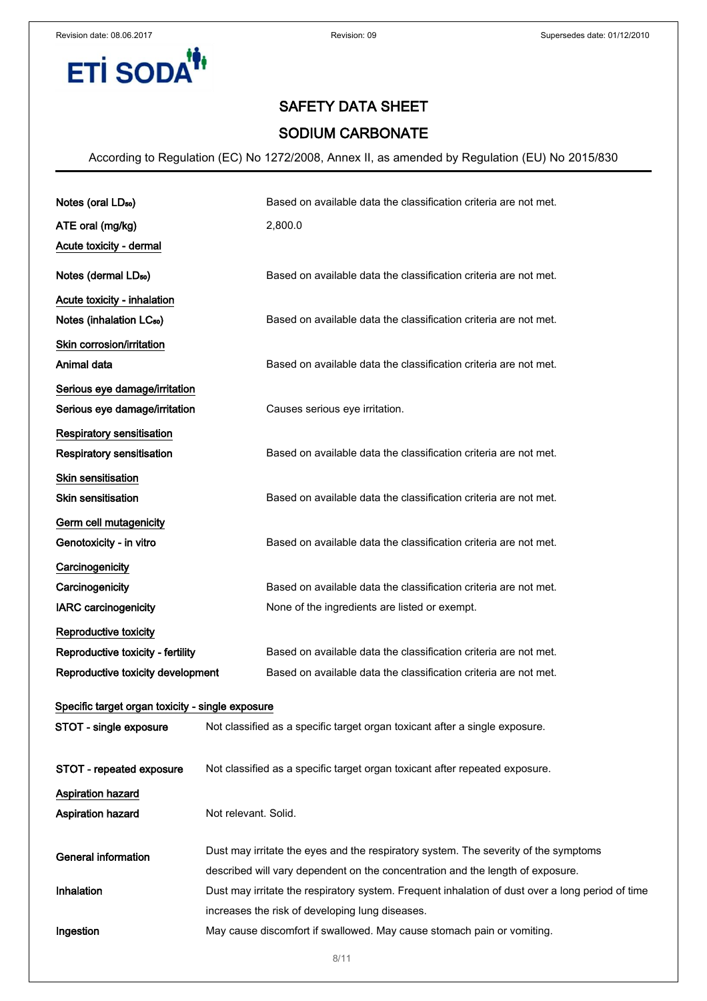**ETİ SODA<sup>'</sup>** 



## SAFETY DATA SHEET

## SODIUM CARBONATE

| Notes (oral LD <sub>50</sub> )                   | Based on available data the classification criteria are not met.                                                          |  |
|--------------------------------------------------|---------------------------------------------------------------------------------------------------------------------------|--|
| ATE oral (mg/kg)                                 | 2,800.0                                                                                                                   |  |
| Acute toxicity - dermal                          |                                                                                                                           |  |
| Notes (dermal LD <sub>50</sub> )                 | Based on available data the classification criteria are not met.                                                          |  |
| Acute toxicity - inhalation                      |                                                                                                                           |  |
| Notes (inhalation LC <sub>50</sub> )             | Based on available data the classification criteria are not met.                                                          |  |
| Skin corrosion/irritation                        |                                                                                                                           |  |
| Animal data                                      | Based on available data the classification criteria are not met.                                                          |  |
| Serious eye damage/irritation                    |                                                                                                                           |  |
| Serious eye damage/irritation                    | Causes serious eye irritation.                                                                                            |  |
| Respiratory sensitisation                        |                                                                                                                           |  |
| <b>Respiratory sensitisation</b>                 | Based on available data the classification criteria are not met.                                                          |  |
| Skin sensitisation                               |                                                                                                                           |  |
| <b>Skin sensitisation</b>                        | Based on available data the classification criteria are not met.                                                          |  |
| Germ cell mutagenicity                           |                                                                                                                           |  |
| Genotoxicity - in vitro                          | Based on available data the classification criteria are not met.                                                          |  |
| Carcinogenicity                                  |                                                                                                                           |  |
| Carcinogenicity                                  | Based on available data the classification criteria are not met.                                                          |  |
| <b>IARC</b> carcinogenicity                      | None of the ingredients are listed or exempt.                                                                             |  |
| Reproductive toxicity                            |                                                                                                                           |  |
| Reproductive toxicity - fertility                | Based on available data the classification criteria are not met.                                                          |  |
| Reproductive toxicity development                | Based on available data the classification criteria are not met.                                                          |  |
| Specific target organ toxicity - single exposure |                                                                                                                           |  |
| STOT - single exposure                           | Not classified as a specific target organ toxicant after a single exposure.                                               |  |
|                                                  |                                                                                                                           |  |
| STOT - repeated exposure                         | Not classified as a specific target organ toxicant after repeated exposure.                                               |  |
| Aspiration hazard                                |                                                                                                                           |  |
| <b>Aspiration hazard</b>                         | Not relevant. Solid.                                                                                                      |  |
|                                                  |                                                                                                                           |  |
| <b>General information</b>                       | Dust may irritate the eyes and the respiratory system. The severity of the symptoms                                       |  |
|                                                  | described will vary dependent on the concentration and the length of exposure.                                            |  |
| Inhalation                                       | Dust may irritate the respiratory system. Frequent inhalation of dust over a long period of time                          |  |
| Ingestion                                        | increases the risk of developing lung diseases.<br>May cause discomfort if swallowed. May cause stomach pain or vomiting. |  |
|                                                  |                                                                                                                           |  |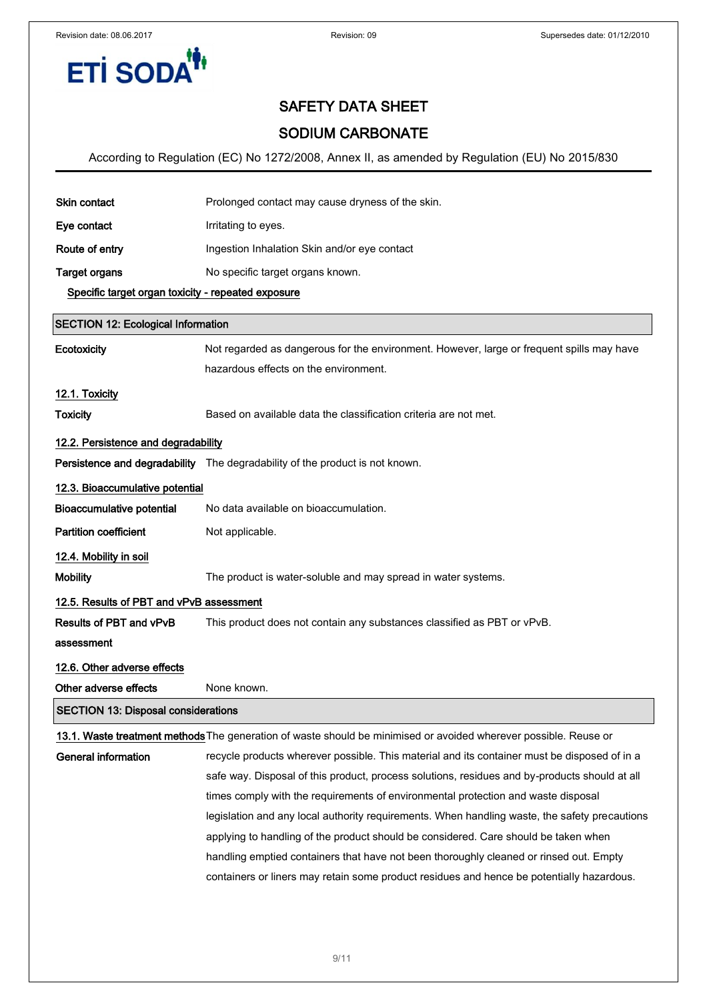

## SODIUM CARBONATE

| <b>Skin contact</b>                                | Prolonged contact may cause dryness of the skin.                                                                                   |  |  |  |
|----------------------------------------------------|------------------------------------------------------------------------------------------------------------------------------------|--|--|--|
| Eye contact                                        | Irritating to eyes.                                                                                                                |  |  |  |
| Route of entry                                     | Ingestion Inhalation Skin and/or eye contact                                                                                       |  |  |  |
| <b>Target organs</b>                               | No specific target organs known.                                                                                                   |  |  |  |
| Specific target organ toxicity - repeated exposure |                                                                                                                                    |  |  |  |
| <b>SECTION 12: Ecological Information</b>          |                                                                                                                                    |  |  |  |
| Ecotoxicity                                        | Not regarded as dangerous for the environment. However, large or frequent spills may have<br>hazardous effects on the environment. |  |  |  |
| 12.1. Toxicity                                     |                                                                                                                                    |  |  |  |
| <b>Toxicity</b>                                    | Based on available data the classification criteria are not met.                                                                   |  |  |  |
| 12.2. Persistence and degradability                |                                                                                                                                    |  |  |  |
|                                                    | Persistence and degradability The degradability of the product is not known.                                                       |  |  |  |
| 12.3. Bioaccumulative potential                    |                                                                                                                                    |  |  |  |
| <b>Bioaccumulative potential</b>                   | No data available on bioaccumulation.                                                                                              |  |  |  |
| <b>Partition coefficient</b>                       | Not applicable.                                                                                                                    |  |  |  |
| 12.4. Mobility in soil                             |                                                                                                                                    |  |  |  |
| <b>Mobility</b>                                    | The product is water-soluble and may spread in water systems.                                                                      |  |  |  |
| 12.5. Results of PBT and vPvB assessment           |                                                                                                                                    |  |  |  |
| Results of PBT and vPvB                            | This product does not contain any substances classified as PBT or vPvB.                                                            |  |  |  |
| assessment                                         |                                                                                                                                    |  |  |  |
| 12.6. Other adverse effects                        |                                                                                                                                    |  |  |  |
| Other adverse effects                              | None known.                                                                                                                        |  |  |  |
| <b>SECTION 13: Disposal considerations</b>         |                                                                                                                                    |  |  |  |
|                                                    | 13.1. Waste treatment methods The generation of waste should be minimised or avoided wherever possible. Reuse or                   |  |  |  |
| <b>General information</b>                         | recycle products wherever possible. This material and its container must be disposed of in a                                       |  |  |  |
|                                                    | safe way. Disposal of this product, process solutions, residues and by-products should at all                                      |  |  |  |
|                                                    | times comply with the requirements of environmental protection and waste disposal                                                  |  |  |  |
|                                                    | legislation and any local authority requirements. When handling waste, the safety precautions                                      |  |  |  |
|                                                    | applying to handling of the product should be considered. Care should be taken when                                                |  |  |  |
|                                                    | handling emptied containers that have not been thoroughly cleaned or rinsed out. Empty                                             |  |  |  |
|                                                    | containers or liners may retain some product residues and hence be potentially hazardous.                                          |  |  |  |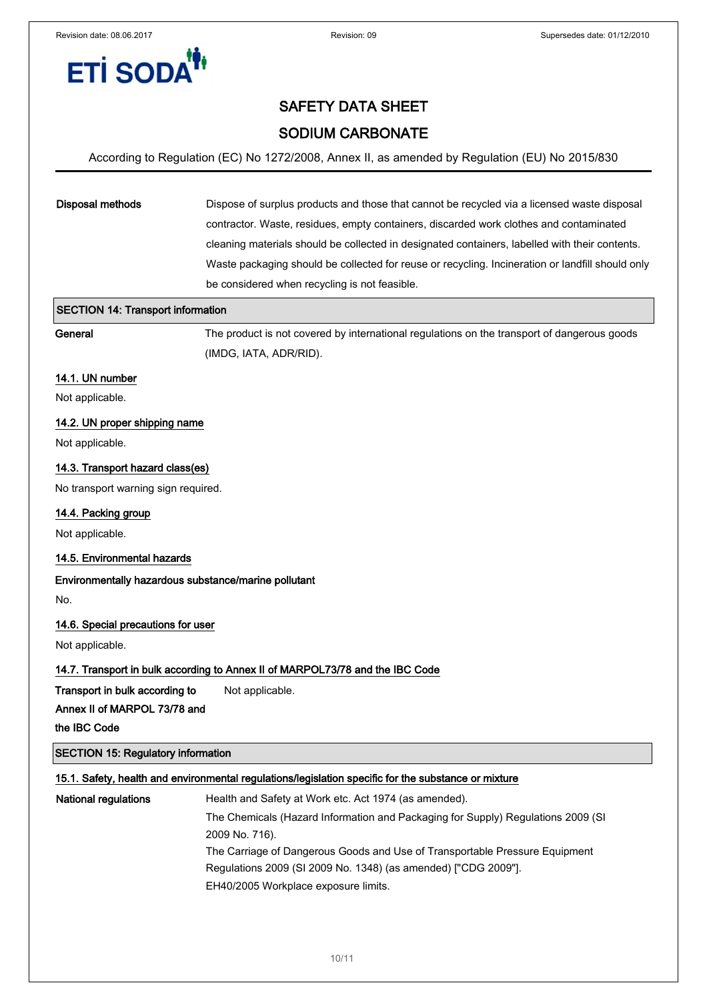# **ETİ SODA**

## SAFETY DATA SHEET

## SODIUM CARBONATE

#### According to Regulation (EC) No 1272/2008, Annex II, as amended by Regulation (EU) No 2015/830

## Disposal methods Dispose of surplus products and those that cannot be recycled via a licensed waste disposal contractor. Waste, residues, empty containers, discarded work clothes and contaminated cleaning materials should be collected in designated containers, labelled with their contents. Waste packaging should be collected for reuse or recycling. Incineration or landfill should only be considered when recycling is not feasible.

| <b>SECTION 14: Transport information</b>             |                                                                                                      |
|------------------------------------------------------|------------------------------------------------------------------------------------------------------|
| General                                              | The product is not covered by international regulations on the transport of dangerous goods          |
|                                                      | (IMDG, IATA, ADR/RID).                                                                               |
| 14.1. UN number                                      |                                                                                                      |
| Not applicable.                                      |                                                                                                      |
| 14.2. UN proper shipping name                        |                                                                                                      |
| Not applicable.                                      |                                                                                                      |
| 14.3. Transport hazard class(es)                     |                                                                                                      |
| No transport warning sign required.                  |                                                                                                      |
| 14.4. Packing group                                  |                                                                                                      |
| Not applicable.                                      |                                                                                                      |
| 14.5. Environmental hazards                          |                                                                                                      |
| Environmentally hazardous substance/marine pollutant |                                                                                                      |
| No.                                                  |                                                                                                      |
| 14.6. Special precautions for user                   |                                                                                                      |
| Not applicable.                                      |                                                                                                      |
|                                                      | 14.7. Transport in bulk according to Annex II of MARPOL73/78 and the IBC Code                        |
| Transport in bulk according to                       | Not applicable.                                                                                      |
| Annex II of MARPOL 73/78 and                         |                                                                                                      |
| the IBC Code                                         |                                                                                                      |
| <b>SECTION 15: Regulatory information</b>            |                                                                                                      |
|                                                      | 15.1. Safety, health and environmental regulations/legislation specific for the substance or mixture |
| <b>National regulations</b>                          | Health and Safety at Work etc. Act 1974 (as amended).                                                |
|                                                      | The Chemicals (Hazard Information and Packaging for Supply) Regulations 2009 (SI                     |

2009 No. 716).

The Carriage of Dangerous Goods and Use of Transportable Pressure Equipment Regulations 2009 (SI 2009 No. 1348) (as amended) ["CDG 2009"].

EH40/2005 Workplace exposure limits.